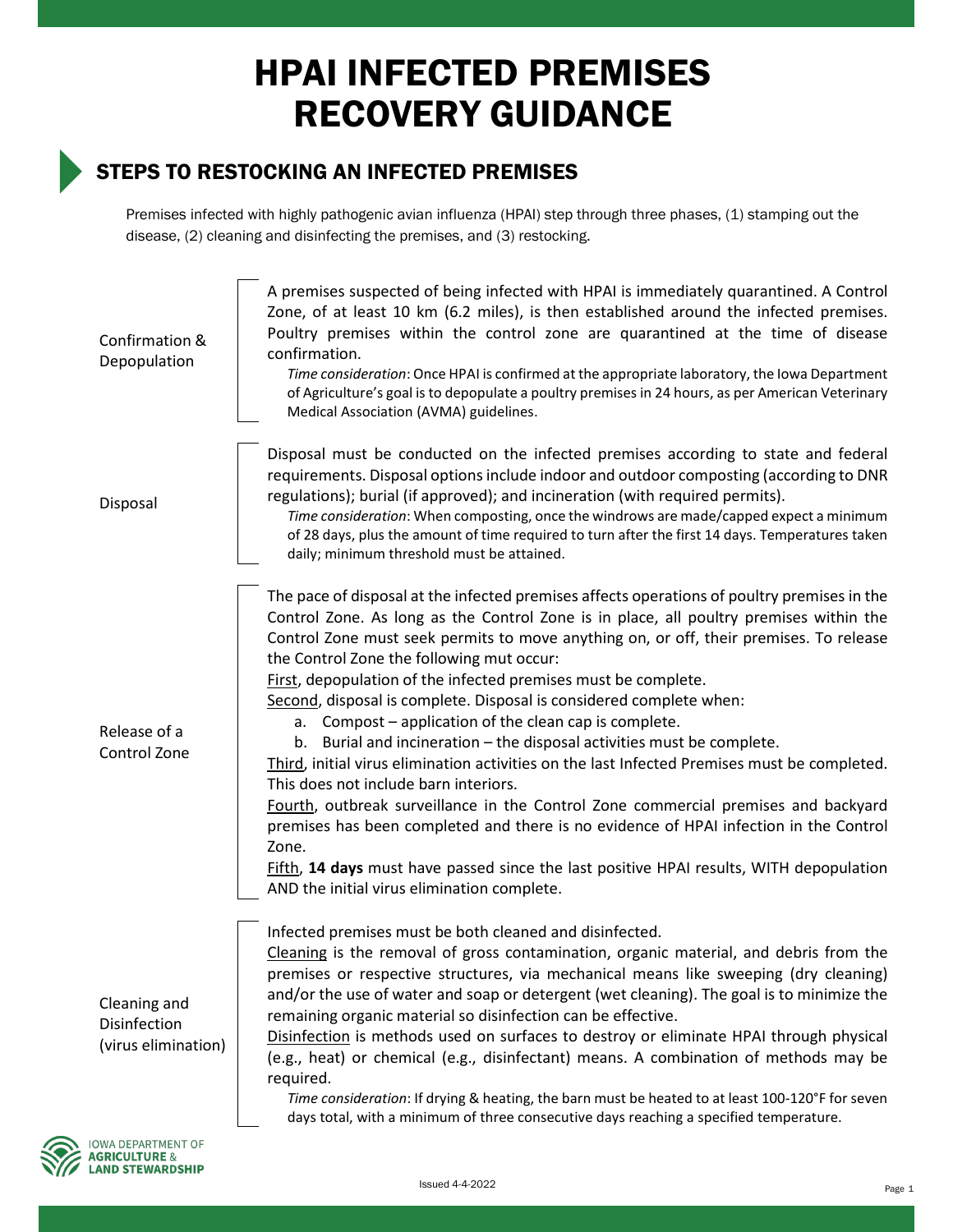## HPAI INFECTED PREMISES RECOVERY GUIDANCE

## STEPS TO RESTOCKING AN INFECTED PREMISES

Premises infected with highly pathogenic avian influenza (HPAI) step through three phases, (1) stamping out the disease, (2) cleaning and disinfecting the premises, and (3) restocking.

| Confirmation &<br>Depopulation                      | A premises suspected of being infected with HPAI is immediately quarantined. A Control<br>Zone, of at least 10 km (6.2 miles), is then established around the infected premises.<br>Poultry premises within the control zone are quarantined at the time of disease<br>confirmation.<br>Time consideration: Once HPAI is confirmed at the appropriate laboratory, the Iowa Department<br>of Agriculture's goal is to depopulate a poultry premises in 24 hours, as per American Veterinary<br>Medical Association (AVMA) guidelines.                                                                                                                                                                                                                                                                                                                                                                                                                                                                                                                                                 |
|-----------------------------------------------------|--------------------------------------------------------------------------------------------------------------------------------------------------------------------------------------------------------------------------------------------------------------------------------------------------------------------------------------------------------------------------------------------------------------------------------------------------------------------------------------------------------------------------------------------------------------------------------------------------------------------------------------------------------------------------------------------------------------------------------------------------------------------------------------------------------------------------------------------------------------------------------------------------------------------------------------------------------------------------------------------------------------------------------------------------------------------------------------|
| Disposal                                            | Disposal must be conducted on the infected premises according to state and federal<br>requirements. Disposal options include indoor and outdoor composting (according to DNR<br>regulations); burial (if approved); and incineration (with required permits).<br>Time consideration: When composting, once the windrows are made/capped expect a minimum<br>of 28 days, plus the amount of time required to turn after the first 14 days. Temperatures taken<br>daily; minimum threshold must be attained.                                                                                                                                                                                                                                                                                                                                                                                                                                                                                                                                                                           |
| Release of a<br>Control Zone                        | The pace of disposal at the infected premises affects operations of poultry premises in the<br>Control Zone. As long as the Control Zone is in place, all poultry premises within the<br>Control Zone must seek permits to move anything on, or off, their premises. To release<br>the Control Zone the following mut occur:<br>First, depopulation of the infected premises must be complete.<br>Second, disposal is complete. Disposal is considered complete when:<br>a. Compost – application of the clean cap is complete.<br>b. Burial and incineration - the disposal activities must be complete.<br>Third, initial virus elimination activities on the last Infected Premises must be completed.<br>This does not include barn interiors.<br>Fourth, outbreak surveillance in the Control Zone commercial premises and backyard<br>premises has been completed and there is no evidence of HPAI infection in the Control<br>Zone.<br>Fifth, 14 days must have passed since the last positive HPAI results, WITH depopulation<br>AND the initial virus elimination complete. |
| Cleaning and<br>Disinfection<br>(virus elimination) | Infected premises must be both cleaned and disinfected.<br>Cleaning is the removal of gross contamination, organic material, and debris from the<br>premises or respective structures, via mechanical means like sweeping (dry cleaning)<br>and/or the use of water and soap or detergent (wet cleaning). The goal is to minimize the<br>remaining organic material so disinfection can be effective.<br>Disinfection is methods used on surfaces to destroy or eliminate HPAI through physical<br>(e.g., heat) or chemical (e.g., disinfectant) means. A combination of methods may be<br>required.<br>Time consideration: If drying & heating, the barn must be heated to at least 100-120°F for seven<br>days total, with a minimum of three consecutive days reaching a specified temperature.                                                                                                                                                                                                                                                                                   |